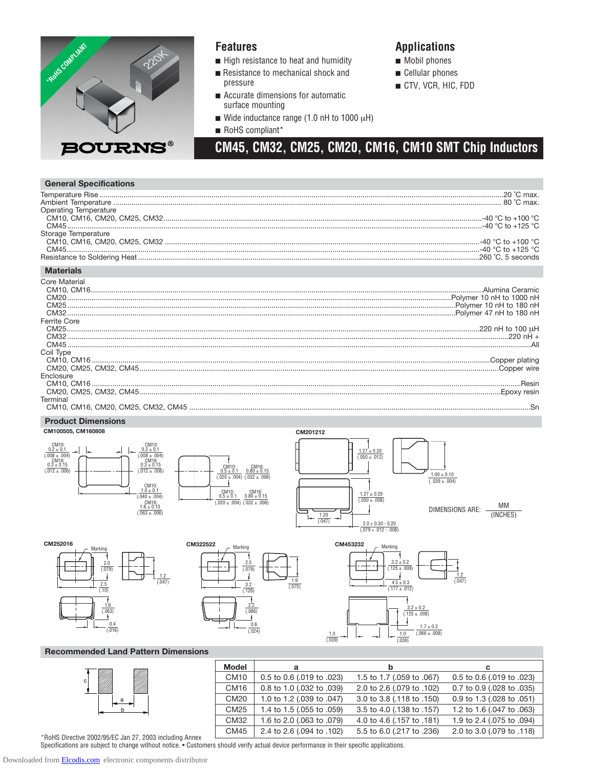

### **Features**

■ High resistance to heat and humidity

- Resistance to mechanical shock and pressure
- Accurate dimensions for automatic surface mounting
- Wide inductance range (1.0 nH to 1000  $\mu$ H)
- RoHS compliant\*

### **Applications**

- Mobil phones
- Cellular phones

**CM45, CM32, CM25, CM20, CM16, CM10 SMT Chip Inductors**

■ CTV, VCR, HIC, FDD

**General Specifications** Temperature Rise......................................................................................................................................................................................................20 ˚C max. Ambient Temperature .............................................................................................................................................................................................. 80 ˚C max. Operating Temperature CM10, CM16, CM20, CM25, CM32............................................................................................................................................................-40 °C to +100 °C CM45...........................................................................................................................................................................................................-40 °C to +125 °C Storage Temperature CM10, CM16, CM20, CM25, CM32 ..........................................................................................................................................................-40 °C to +100 °C CM45..........................................................................................................................................................................................................-40 °C to +125 °C Resistance to Soldering Heat .......................................................................................................................................................................260 ˚C, 5 seconds **Materials** Core Material<br>CM10, CM16.. CM10, CM16................................................................................................................................................................................................Alumina Ceramic CM20............................................................................................................................................................................................Polymer 10 nH to 1000 nH CM25..............................................................................................................................................................................................Polymer 10 nH to 180 nH CM32..............................................................................................................................................................................................Polymer 47 nH to 180 nH Ferrite Core<br>CM25 CM25..........................................................................................................................................................................................................220 nH to 100 µH CM32 ........................................................................................................................................................................................................................220 nH + CM45 ...................................................................................................................................................................................................................................All Coil Type<br>CM10, CM16... CM10, CM16 ...................................................................................................................................................................................................Copper plating CM20, CM25, CM32, CM45................................................................................................................................................................................Copper wire Enclosure<br>CM10, CM16.. CM10, CM16 ..................................................................................................................................................................................................................Resin CM20, CM25, CM32, CM45.................................................................................................................................................................................Epoxy resin **Terminal** 

CM10, CM16, CM20, CM25, CM32, CM45 .......................................................................................................................................................................Sn

#### **Product Dimensions**



1.9 (.075)

 $\frac{1.0}{(.039)}$ 







 $\overline{10}$ (.039)  $(0.06 + 0.08)$ 



(.016)

**Recommended Land Pattern Dimensions**

1.2 (.047)



| <b>Model</b>     | a                         | b                         | c.                        |
|------------------|---------------------------|---------------------------|---------------------------|
| CM <sub>10</sub> | 0.5 to 0.6 (.019 to .023) | 1.5 to 1.7 (.059 to .067) | 0.5 to 0.6 (.019 to .023) |
| CM <sub>16</sub> | 0.8 to 1.0 (.032 to .039) | 2.0 to 2.6 (.079 to .102) | 0.7 to 0.9 (.028 to .035) |
| CM20             | 1.0 to 1.2 (.039 to .047) | 3.0 to 3.8 (.118 to .150) | 0.9 to 1.3 (.028 to .051) |
| CM <sub>25</sub> | 1.4 to 1.5 (.055 to .059) | 3.5 to 4.0 (.138 to .157) | 1.2 to 1.6 (.047 to .063) |
| CM32             | 1.6 to 2.0 (.063 to .079) | 4.0 to 4.6 (.157 to .181) | 1.9 to 2.4 (.075 to .094) |
| <b>CM45</b>      | 2.4 to 2.6 (.094 to .102) | 5.5 to 6.0 (.217 to .236) | 2.0 to 3.0 (.079 to .118) |

\*RoHS Directive 2002/95/EC Jan 27, 2003 including Annex Specifications are subject to change without notice. • Customers should verify actual device performance in their specific applications.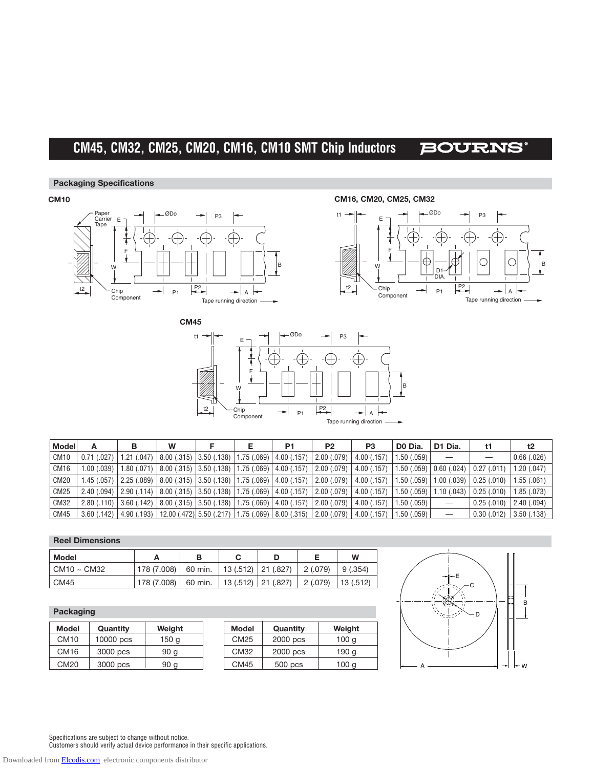#### **CM45, CM32, CM25, CM20, CM16, CM10 SMT Chip Inductors BOURNS®**

#### **Packaging Specifications**







| Model            | A           | в | W |  | P <sub>1</sub>                                                                                                 | P <sub>2</sub> | P <sub>3</sub>                                                                                                                                                                                              | D <sub>0</sub> Dia. | D1 Dia.     | t1          | t2                        |
|------------------|-------------|---|---|--|----------------------------------------------------------------------------------------------------------------|----------------|-------------------------------------------------------------------------------------------------------------------------------------------------------------------------------------------------------------|---------------------|-------------|-------------|---------------------------|
| <b>CM10</b>      |             |   |   |  | $0.71(.027)$   1.21 (.047)   8.00 (.315)   3.50 (.138)   1.75 (.069)   4.00 (.157)   2.00 (.079)   4.00 (.157) |                |                                                                                                                                                                                                             | 1.50(.059)          |             |             | 0.66(.026)                |
| CM <sub>16</sub> | 1.00(0.039) |   |   |  |                                                                                                                |                | 1.80 (.021)   8.00 (.315)   3.50 (.138)   1.75 (.069)   4.00 (.157)   2.00 (.079)   4.00 (.157)   1.50 (.059)   0.60 (.024)   0.27 (.011)                                                                   |                     |             |             | 1.20(.047)                |
| <b>CM20</b>      |             |   |   |  |                                                                                                                |                | $1.45$ (.057) $\mid$ 2.25 (.089) $\mid$ 8.00 (.315) $\mid$ 3.50 (.138) $\mid$ 1.75 (.069) $\mid$ 4.00 (.157) $\mid$ 2.00 (.079) $\mid$ 4.00 (.157) $\mid$ 1.50 (.059) $\mid$ 1.00 (.039) $\mid$ 0.25 (.010) |                     |             |             | .55(0.061)                |
| CM <sub>25</sub> |             |   |   |  |                                                                                                                |                | $2.40(.094)$ $2.90(.114)$ $8.00(.315)$ $3.50(.138)$ $1.75(.069)$ $4.00(.157)$ $2.00(.079)$ $4.00(.157)$                                                                                                     | 1.50(.059)          | 1.10(0.043) | 0.25(0.010) | 1.85 (.073)               |
| CM32             |             |   |   |  |                                                                                                                |                | $2.80(.110)$ $3.60(.142)$ $8.00(.315)$ $3.50(.138)$ $1.75(.069)$ $4.00(.157)$ $2.00(.079)$ $4.00(.157)$                                                                                                     | 1.50(0.059)         |             | 0.25(0.010) | 2.40(0.094)               |
| CM45             |             |   |   |  |                                                                                                                |                | 3.60 (.142)   4.90 (.193)   12.00 (.472)   5.50 (.217)   1.75 (.069)   8.00 (.315)   2.00 (.079)   4.00 (.157)   1.50 (.059)                                                                                |                     |             |             | $0.30(0.012)$ 3.50 (.138) |

#### **Reel Dimensions**

| Model       |                       |  |                                              | w |
|-------------|-----------------------|--|----------------------------------------------|---|
| CM10 ~ CM32 | 178 (7.008)   60 min. |  | 13 (.512)   21 (.827)   2 (.079)   9 (.354)  |   |
| CM45        | 178 (7.008)   60 min. |  | 13 (.512)   21 (.827)   2 (.079)   13 (.512) |   |

#### **Packaging**

| Model            | Quantity  | Weight |
|------------------|-----------|--------|
| CM <sub>10</sub> | 10000 pcs | 150 g  |
| CM <sub>16</sub> | 3000 pcs  | 90 g   |
| CM <sub>20</sub> | 3000 pcs  | 90 a   |

| <b>Model</b>     | Quantity | Weight |
|------------------|----------|--------|
| CM <sub>25</sub> | 2000 pcs | 100q   |
| CM32             | 2000 pcs | 190 g  |
| CM45             | 500 pcs  | 100q   |



Specifications are subject to change without notice. Customers should verify actual device performance in their specific applications.

Downloaded from [Elcodis.com](http://elcodis.com/) electronic components distributor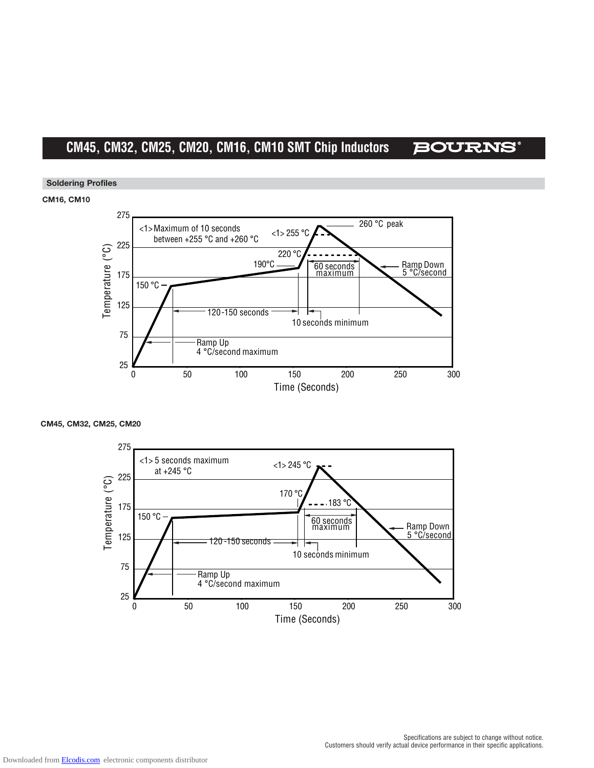### **CM45, CM32, CM25, CM20, CM16, CM10 SMT Chip Inductors**

**BOURNS®** 

**Soldering Profiles**

#### **CM16, CM10**



### **CM45, CM32, CM25, CM20**

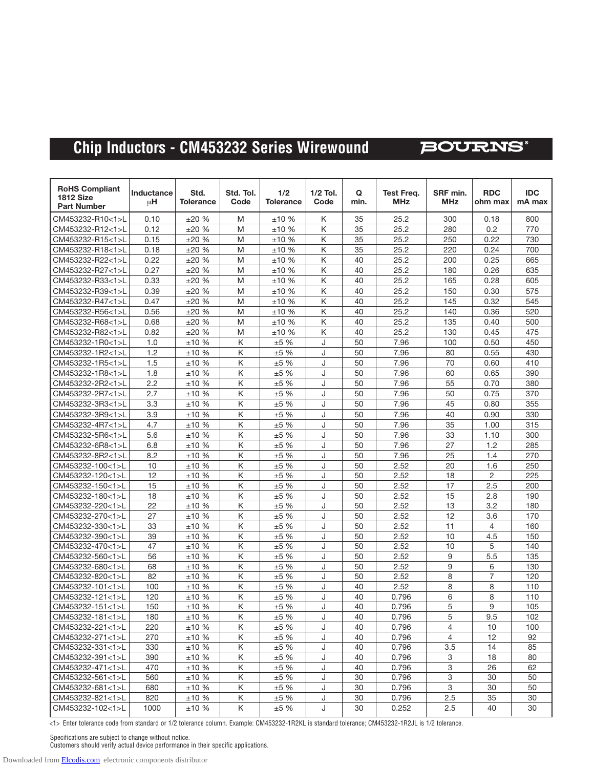# **Chip Inductors - CM453232 Series Wirewound**

## **BOURNS**®

| <b>RoHS Compliant</b><br><b>1812 Size</b><br><b>Part Number</b> | Inductance<br>μH | Std.<br>Tolerance    | Std. Tol.<br>Code | 1/2<br><b>Tolerance</b> | $1/2$ Tol.<br>Code | Q<br>min. | Test Freq.<br><b>MHz</b> | SRF min.<br>MHz | <b>RDC</b><br>ohm max | <b>IDC</b><br>mA max |
|-----------------------------------------------------------------|------------------|----------------------|-------------------|-------------------------|--------------------|-----------|--------------------------|-----------------|-----------------------|----------------------|
| CM453232-R10<1>L                                                | 0.10             | ±20%                 | M                 | ±10%                    | Κ                  | 35        | 25.2                     | 300             | 0.18                  | 800                  |
| CM453232-R12<1>L                                                | 0.12             | ±20%                 | M                 | ±10%                    | Κ                  | 35        | 25.2                     | 280             | 0.2                   | 770                  |
| CM453232-R15<1>L                                                | 0.15             | ±20%                 | M                 | ±10%                    | Κ                  | 35        | 25.2                     | 250             | 0.22                  | 730                  |
| CM453232-R18<1>L                                                | 0.18             | ±20%                 | M                 | ±10%                    | Κ                  | 35        | 25.2                     | 220             | 0.24                  | 700                  |
| CM453232-R22<1>L                                                | 0.22             | ±20%                 | M                 | ±10 %                   | Κ                  | 40        | 25.2                     | 200             | 0.25                  | 665                  |
| CM453232-R27<1>L                                                | 0.27             | ±20%                 | M                 | ±10 %                   | Κ                  | 40        | 25.2                     | 180             | 0.26                  | 635                  |
| CM453232-R33<1>L                                                | 0.33             | ±20%                 | M                 | ±10%                    | Κ                  | 40        | 25.2                     | 165             | 0.28                  | 605                  |
| CM453232-R39<1>L                                                | 0.39             | ±20%                 | M                 | ±10%                    | Κ                  | 40        | 25.2                     | 150             | 0.30                  | 575                  |
| CM453232-R47<1>L                                                | 0.47             | ±20%                 | M                 | ±10%                    | Κ                  | 40        | 25.2                     | 145             | 0.32                  | 545                  |
| CM453232-R56<1>L                                                | 0.56             | ±20%                 | M                 | ±10 %                   | Κ                  | 40        | 25.2                     | 140             | 0.36                  | 520                  |
| CM453232-R68<1>L                                                | 0.68             | ±20%                 | M                 | ±10%                    | Κ                  | 40        | 25.2                     | 135             | 0.40                  | 500                  |
| CM453232-R82<1>L                                                | 0.82             | ±20%                 | M                 | ±10%                    | Κ                  | 40        | 25.2                     | 130             | 0.45                  | 475                  |
| CM453232-1R0<1>L                                                | 1.0              | ±10%                 | Κ                 | ±5%                     | J                  | 50        | 7.96                     | 100             | 0.50                  | 450                  |
| CM453232-1R2<1>L                                                | 1.2              | ±10 %                | Κ                 | ±5%                     | J                  | 50        | 7.96                     | 80              | 0.55                  | 430                  |
| CM453232-1R5<1>L                                                | 1.5              | ±10%                 | Κ                 | ±5 %                    | J                  | 50        | 7.96                     | 70              | 0.60                  | 410                  |
| CM453232-1R8<1>L                                                | 1.8              | ±10 %                | Κ                 | ±5%                     | J                  | 50        | 7.96                     | 60              | 0.65                  | 390                  |
| CM453232-2R2<1>L                                                | 2.2              | ±10%                 | Κ                 | ±5%                     | J                  | 50        | 7.96                     | 55              | 0.70                  | 380                  |
| CM453232-2R7<1>L                                                | 2.7              | ±10%                 | Κ                 | ±5%                     | J                  | 50        | 7.96                     | 50              | 0.75                  | 370                  |
| CM453232-3R3<1>L                                                | 3.3              | ±10%                 | Κ                 | ±5%                     | J                  | 50        | 7.96                     | 45              | 0.80                  | 355                  |
| CM453232-3R9<1>L                                                | 3.9              | %<br>±10             | Κ                 | ±5%                     | J                  | 50        | 7.96                     | 40              | 0.90                  | 330                  |
| CM453232-4R7<1>L                                                | 4.7              | ±10 %                | Κ                 | ±5%                     | J                  | 50        | 7.96                     | 35              | 1.00                  | 315                  |
| CM453232-5R6<1>L                                                | 5.6              | ±10 %                | Κ                 | ±5 %                    | J                  | 50        | 7.96                     | 33              | 1.10                  | 300                  |
| CM453232-6R8<1>L                                                | 6.8              | $±10\%$              | Κ                 | ±5%                     | J                  | 50        | 7.96                     | 27              | 1.2                   | 285                  |
| CM453232-8R2<1>L                                                | 8.2              | ±10%                 | K                 | ±5 %                    | J                  | 50        | 7.96                     | 25              | 1.4                   | 270                  |
| CM453232-100<1>L                                                | 10               | ±10 %                | Κ                 | ±5%                     | J                  | 50        | 2.52                     | 20              | 1.6                   | 250                  |
| CM453232-120<1>L                                                | 12               | ±10 %                | Κ                 | ±5%                     | J                  | 50        | 2.52                     | 18              | 2                     | 225                  |
| CM453232-150<1>L                                                | 15               | ±10 %                | Κ                 | ±5%                     | J                  | 50        | 2.52                     | 17              | 2.5                   | 200                  |
| CM453232-180<1>L                                                | 18               | $\frac{0}{0}$<br>±10 | Κ                 | ±5%                     | J                  | 50        | 2.52                     | 15              | 2.8                   | 190                  |
| CM453232-220<1>L                                                | 22               | ±10 %                | Κ                 | ±5%                     | J                  | 50        | 2.52                     | 13              | 3.2                   | 180                  |
| CM453232-270<1>L                                                | 27               | ±10 %                | Κ                 | ±5 %                    | J                  | 50        | 2.52                     | 12              | 3.6                   | 170                  |
| CM453232-330<1>L                                                | 33               | ±10%                 | Κ                 | ±5%                     | J                  | 50        | 2.52                     | 11              | $\overline{4}$        | 160                  |
| CM453232-390<1>L                                                | 39               | ±10 %                | Κ                 | ±5 %                    | J                  | 50        | 2.52                     | 10              | 4.5                   | 150                  |
| CM453232-470<1>L                                                | 47               | ±10%                 | Κ                 | ±5%                     | J                  | 50        | 2.52                     | 10              | 5                     | 140                  |
| CM453232-560<1>L                                                | 56               | ±10%                 | Κ                 | ±5%                     | J                  | 50        | 2.52                     | 9               | 5.5                   | 135                  |
| CM453232-680<1>L                                                | 68               | ±10 %                | Κ                 | ±5%                     | J                  | 50        | 2.52                     | 9               | 6                     | 130                  |
| CM453232-820<1>L                                                | 82               | ±10 %                | Κ                 | ±5%                     | J                  | 50        | 2.52                     | 8               | $\overline{7}$        | 120                  |
| CM453232-101<1>L                                                | 100              | ±10%                 | Κ                 | ±5 %                    | J                  | 40        | 2.52                     | 8               | 8                     | 110                  |
| CM453232-121<1>L                                                | 120              | ±10%                 | Κ                 | ±5%                     | J                  | 40        | 0.796                    | 6               | 8                     | 110                  |
| CM453232-151<1>L                                                | 150              | ±10%                 | K                 | ±5%                     | J                  | 40        | 0.796                    | 5               | 9                     | 105                  |
| CM453232-181<1>L                                                | 180              | ±10%                 | K                 | ±5%                     | J                  | 40        | 0.796                    | 5               | 9.5                   | 102                  |
| CM453232-221<1>L                                                | 220              | ±10%                 | Κ                 | ±5%                     | J                  | 40        | 0.796                    | 4               | 10                    | 100                  |
| CM453232-271<1>L                                                | 270              | ±10%                 | Κ                 | ±5%                     | J                  | 40        | 0.796                    | $\overline{4}$  | 12                    | 92                   |
| CM453232-331<1>L                                                | 330              | ±10%                 | Κ                 | ±5%                     | J                  | 40        | 0.796                    | 3.5             | 14                    | 85                   |
| CM453232-391<1>L                                                | 390              | ±10%                 | Κ                 | ±5%                     | J                  | 40        | 0.796                    | 3               | 18                    | 80                   |
| CM453232-471<1>L                                                | 470              | ±10%                 | Κ                 | ±5%                     | J                  | 40        | 0.796                    | 3               | 26                    | 62                   |
| CM453232-561<1>L                                                | 560              | ±10%                 | Κ                 | ±5%                     | J                  | 30        | 0.796                    | 3               | 30                    | 50                   |
| CM453232-681<1>L                                                | 680              | ±10%                 | Κ                 | ±5%                     | J                  | 30        | 0.796                    | 3               | 30                    | 50                   |
| CM453232-821<1>L                                                | 820              | ±10%                 | Κ                 | ±5%                     | J                  | 30        | 0.796                    | 2.5             | 35                    | 30                   |
| CM453232-102<1>L                                                | 1000             | ±10 %                | Κ                 | ±5%                     | J                  | 30        | 0.252                    | 2.5             | 40                    | 30                   |

<1> Enter tolerance code from standard or 1/2 tolerance column. Example: CM453232-1R2KL is standard tolerance; CM453232-1R2JL is 1/2 tolerance.

Specifications are subject to change without notice.

Customers should verify actual device performance in their specific applications.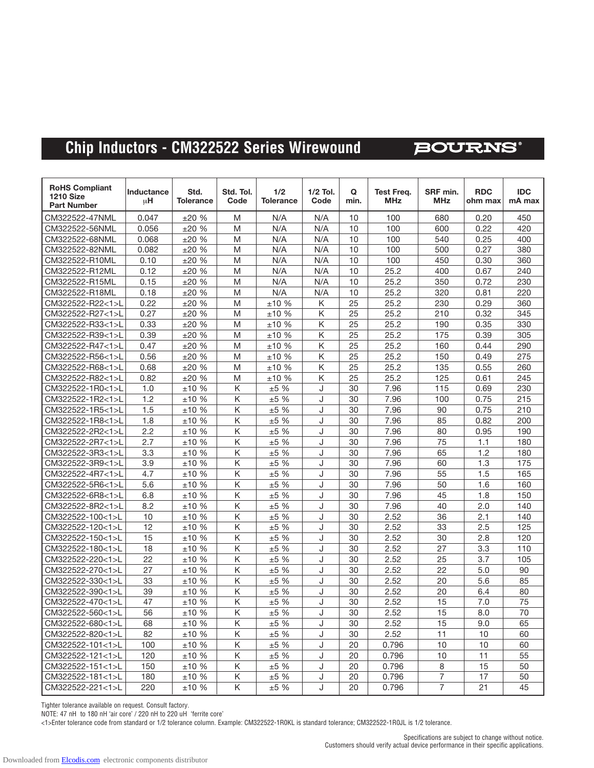# **Chip Inductors - CM322522 Series Wirewound**

### **BOURNS®**

| <b>RoHS Compliant</b><br><b>1210 Size</b><br><b>Part Number</b> | Inductance<br>μH | Std.<br><b>Tolerance</b> | Std. Tol.<br>Code | 1/2<br><b>Tolerance</b> | $1/2$ Tol.<br>Code  | Q<br>min. | Test Freq.<br><b>MHz</b> | SRF min.<br>MHz  | <b>RDC</b><br>ohm max | <b>IDC</b><br>mA max |
|-----------------------------------------------------------------|------------------|--------------------------|-------------------|-------------------------|---------------------|-----------|--------------------------|------------------|-----------------------|----------------------|
| CM322522-47NML                                                  | 0.047            | ±20%                     | M                 | N/A                     | N/A                 | 10        | 100                      | 680              | 0.20                  | 450                  |
| CM322522-56NML                                                  | 0.056            | ±20%                     | M                 | N/A                     | N/A                 | 10        | 100                      | 600              | 0.22                  | 420                  |
| CM322522-68NML                                                  | 0.068            | ±20%                     | M                 | N/A                     | N/A                 | 10        | 100                      | 540              | 0.25                  | 400                  |
| CM322522-82NML                                                  | 0.082            | ±20%                     | M                 | N/A                     | N/A                 | 10        | 100                      | 500              | 0.27                  | 380                  |
| CM322522-R10ML                                                  | 0.10             | ±20%                     | M                 | N/A                     | N/A                 | 10        | 100                      | 450              | 0.30                  | 360                  |
| CM322522-R12ML                                                  | 0.12             | ±20%                     | M                 | N/A                     | N/A                 | 10        | 25.2                     | 400              | 0.67                  | 240                  |
| CM322522-R15ML                                                  | 0.15             | ±20%                     | M                 | N/A                     | N/A                 | 10        | 25.2                     | 350              | 0.72                  | 230                  |
| CM322522-R18ML                                                  | 0.18             | ±20%                     | M                 | N/A                     | N/A                 | 10        | 25.2                     | 320              | 0.81                  | 220                  |
| CM322522-R22<1>L                                                | 0.22             | ±20%                     | M                 | ±10%                    | K                   | 25        | 25.2                     | 230              | 0.29                  | 360                  |
| CM322522-R27<1>L                                                | 0.27             | ±20%                     | M                 | ±10%                    | Κ                   | 25        | 25.2                     | 210              | 0.32                  | 345                  |
| CM322522-R33<1>L                                                | 0.33             | ±20%                     | M                 | ±10%                    | Κ                   | 25        | 25.2                     | 190              | 0.35                  | 330                  |
| CM322522-R39<1>L                                                | 0.39             | ±20%                     | M                 | ±10%                    | K                   | 25        | 25.2                     | 175              | 0.39                  | 305                  |
| CM322522-R47<1>L                                                | 0.47             | ±20%                     | M                 | ±10%                    | K                   | 25        | 25.2                     | 160              | 0.44                  | 290                  |
| CM322522-R56<1>L                                                | 0.56             | ±20%                     | M                 | ±10%                    | K                   | 25        | 25.2                     | 150              | 0.49                  | 275                  |
| CM322522-R68<1>L                                                | 0.68             | ±20%                     | M                 | ±10%                    | Κ                   | 25        | 25.2                     | 135              | 0.55                  | 260                  |
| CM322522-R82<1>L                                                | 0.82             | ±20%                     | M                 | ±10%                    | Κ                   | 25        | 25.2                     | 125              | 0.61                  | 245                  |
| CM322522-1R0<1>L                                                | 1.0              | ±10 %                    | Κ                 | ±5 %                    | J                   | 30        | 7.96                     | 115              | 0.69                  | 230                  |
| CM322522-1R2<1>L                                                | 1.2              | ±10 %                    | Κ                 | ±5%                     | J                   | 30        | 7.96                     | 100              | 0.75                  | 215                  |
| CM322522-1R5<1>L                                                | 1.5              | ±10 %                    | Κ                 | ±5 %                    | J                   | 30        | 7.96                     | 90               | 0.75                  | 210                  |
| CM322522-1R8<1>L                                                | 1.8              | ±10 %                    | Κ                 | ±5 %                    | J                   | 30        | 7.96                     | 85               | 0.82                  | 200                  |
| CM322522-2R2<1>L                                                | 2.2              | ±10%                     | Κ                 | ±5 %                    | J                   | 30        | 7.96                     | 80               | 0.95                  | 190                  |
| CM322522-2R7<1>L                                                | 2.7              | ±10 %                    | Κ                 | ±5 %                    | J                   | 30        | 7.96                     | 75               | 1.1                   | 180                  |
| CM322522-3R3<1>L                                                | 3.3              | ±10 %                    | Κ                 | ±5 %                    | J                   | 30        | 7.96                     | 65               | 1.2                   | 180                  |
| CM322522-3R9<1>L                                                | 3.9              | ±10%                     | Κ                 | ±5 %                    | J                   | 30        | 7.96                     | 60               | 1.3                   | 175                  |
| CM322522-4R7<1>L                                                | 4.7              | ±10 %                    | Κ                 | ±5 %                    | J                   | 30        | 7.96                     | 55               | 1.5                   | 165                  |
| CM322522-5R6<1>L                                                | 5.6              | ±10 %                    | Κ                 | ±5 %                    | J                   | 30        | 7.96                     | 50               | 1.6                   | 160                  |
| CM322522-6R8<1>L                                                | 6.8              | ±10 %                    | Κ                 | ±5 %                    | J                   | 30        | 7.96                     | 45               | 1.8                   | 150                  |
| CM322522-8R2<1>L                                                | 8.2              | ±10 %                    | Κ                 | ±5 %                    | J                   | 30        | 7.96                     | 40               | 2.0                   | 140                  |
| CM322522-100<1>L                                                | 10               | ±10 %                    | Κ                 | ±5 %                    | J                   | 30        | 2.52                     | 36               | 2.1                   | 140                  |
| CM322522-120<1>L                                                | 12               | ±10%                     | Κ                 | ±5 %                    | J                   | 30        | 2.52                     | 33               | 2.5                   | 125                  |
| CM322522-150<1>L                                                | 15               | ±10 %                    | Κ                 | ±5 %                    | J                   | 30        | 2.52                     | 30               | 2.8                   | 120                  |
| CM322522-180<1>L                                                | 18               | ±10 %                    | Κ                 | ±5 %                    | J                   | 30        | 2.52                     | 27               | 3.3                   | 110                  |
| CM322522-220<1>L                                                | 22               | ±10 %                    | Κ                 | ±5 %                    | J                   | 30        | 2.52                     | 25               | 3.7                   | 105                  |
| CM322522-270<1>L                                                | 27               | ±10%                     | Κ                 | ±5%                     | J                   | 30        | 2.52                     | 22               | 5.0                   | 90                   |
| CM322522-330<1>L                                                | 33               | ±10 %                    | Κ                 | ±5 %                    | J                   | 30        | 2.52                     | 20               | 5.6                   | 85                   |
| CM322522-390<1>L                                                | 39               | ±10 %                    | Κ                 | ±5 %                    | J                   | 30        | 2.52                     | 20               | 6.4                   | 80                   |
| CM322522-470<1>L                                                | 47               | ±10 %                    | Κ                 | ±5 %                    | J                   | 30        | 2.52                     | 15               | 7.0                   | 75                   |
| CM322522-560<1>L                                                | 56               | $\pm 10$ %               | Κ                 | $\pm 5$ %               | $\blacksquare$<br>U | 30        | 2.52                     | 15               | 8.0                   | $70\,$               |
| CM322522-680<1>L                                                | 68               | ±10%                     | Κ                 | ±5%                     | J                   | 30        | 2.52                     | 15               | 9.0                   | 65                   |
| CM322522-820<1>L                                                | 82               | ±10%                     | Κ                 | ±5%                     | J                   | 30        | 2.52                     | 11               | 10                    | 60                   |
| CM322522-101<1>L                                                | 100              | ±10%                     | Κ                 | ±5%                     | J                   | 20        | 0.796                    | 10               | 10                    | 60                   |
| CM322522-121<1>L                                                | 120              | ±10%                     | Κ                 | ±5%                     | J                   | 20        | 0.796                    | 10               | 11                    | 55                   |
| CM322522-151<1>L                                                | 150              | ±10%                     | Κ                 | ±5%                     | J                   | 20        | 0.796                    | 8                | 15                    | 50                   |
| CM322522-181<1>L                                                | 180              | ±10%                     | Κ                 | ±5%                     | J                   | 20        | 0.796                    | $\boldsymbol{7}$ | 17                    | 50                   |
| CM322522-221<1>L                                                | 220              | ±10%                     | K                 | ±5%                     | J                   | 20        | 0.796                    | $\overline{7}$   | 21                    | 45                   |

Tighter tolerance available on request. Consult factory.

NOTE: 47 nH to 180 nH 'air core' / 220 nH to 220 uH 'ferrite core'

<1>Enter tolerance code from standard or 1/2 tolerance column. Example: CM322522-1R0KL is standard tolerance; CM322522-1R0JL is 1/2 tolerance.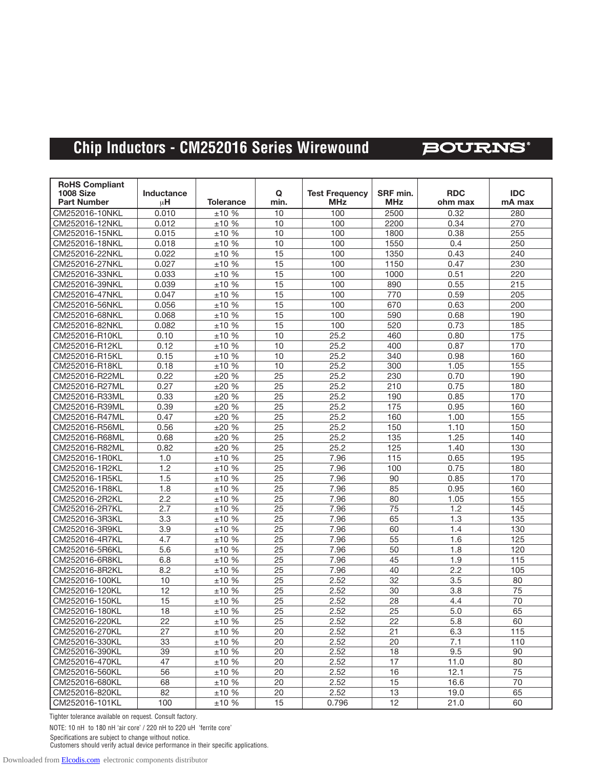# **Chip Inductors - CM252016 Series Wirewound**

## **BOURNS®**

| <b>RoHS Compliant</b><br><b>1008 Size</b><br><b>Part Number</b> | <b>Inductance</b><br>μH | <b>Tolerance</b> | Q<br>min.       | <b>Test Frequency</b><br><b>MHz</b> | SRF min.<br><b>MHz</b> | <b>RDC</b><br>ohm max | <b>IDC</b><br>mA max |
|-----------------------------------------------------------------|-------------------------|------------------|-----------------|-------------------------------------|------------------------|-----------------------|----------------------|
| CM252016-10NKL                                                  | 0.010                   | ±10%             | 10              | 100                                 | 2500                   | 0.32                  | 280                  |
| CM252016-12NKL                                                  | 0.012                   | ±10%             | 10              | 100                                 | 2200                   | 0.34                  | 270                  |
| CM252016-15NKL                                                  | 0.015                   | ±10%             | 10              | 100                                 | 1800                   | 0.38                  | 255                  |
| CM252016-18NKL                                                  | 0.018                   | ±10%             | 10              | 100                                 | 1550                   | 0.4                   | 250                  |
| CM252016-22NKL                                                  | 0.022                   | ±10%             | 15              | 100                                 | 1350                   | 0.43                  | 240                  |
| CM252016-27NKL                                                  | 0.027                   | ±10%             | 15              | 100                                 | 1150                   | 0.47                  | 230                  |
| CM252016-33NKL                                                  | 0.033                   | ±10%             | 15              | 100                                 | 1000                   | 0.51                  | 220                  |
| CM252016-39NKL                                                  | 0.039                   | ±10%             | 15              | 100                                 | 890                    | 0.55                  | 215                  |
| CM252016-47NKL                                                  | 0.047                   | ±10 %            | 15              | 100                                 | 770                    | 0.59                  | 205                  |
| CM252016-56NKL                                                  | 0.056                   | $±10\%$          | 15              | 100                                 | 670                    | 0.63                  | 200                  |
| CM252016-68NKL                                                  | 0.068                   | ±10%             | 15              | 100                                 | 590                    | 0.68                  | 190                  |
| CM252016-82NKL                                                  | 0.082                   | ±10%             | 15              | 100                                 | 520                    | 0.73                  | 185                  |
| CM252016-R10KL                                                  | 0.10                    | ±10%             | 10              | 25.2                                | 460                    | 0.80                  | 175                  |
| CM252016-R12KL                                                  | 0.12                    | ±10%             | 10              | 25.2                                | 400                    | 0.87                  | 170                  |
| CM252016-R15KL                                                  | 0.15                    | ±10%             | 10              | 25.2                                | 340                    | 0.98                  | 160                  |
| CM252016-R18KL                                                  | 0.18                    | ±10%             | 10              | 25.2                                | 300                    | 1.05                  | 155                  |
| CM252016-R22ML                                                  | 0.22                    | ±20%             | 25              | 25.2                                | 230                    | 0.70                  | 190                  |
| CM252016-R27ML                                                  | 0.27                    | ±20%             | $\overline{25}$ | 25.2                                | 210                    | 0.75                  | 180                  |
| CM252016-R33ML                                                  | 0.33                    | ±20%             | $\overline{25}$ | 25.2                                | 190                    | 0.85                  | 170                  |
| CM252016-R39ML                                                  | 0.39                    | ±20%             | 25              | 25.2                                | 175                    | 0.95                  | 160                  |
| CM252016-R47ML                                                  | 0.47                    | ±20%             | 25              | 25.2                                | 160                    | 1.00                  | 155                  |
| CM252016-R56ML                                                  | 0.56                    | ±20%             | 25              | 25.2                                | 150                    | 1.10                  | 150                  |
| CM252016-R68ML                                                  | 0.68                    | ±20%             | 25              | 25.2                                | 135                    | 1.25                  | 140                  |
| CM252016-R82ML                                                  | 0.82                    | ±20%             | 25              | 25.2                                | 125                    | 1.40                  | 130                  |
| CM252016-1R0KL                                                  | 1.0                     | ±10%             | 25              | 7.96                                | 115                    | 0.65                  | 195                  |
| CM252016-1R2KL                                                  | 1.2                     | ±10%             | 25              | 7.96                                | 100                    | 0.75                  | 180                  |
| CM252016-1R5KL                                                  | 1.5                     | ±10%             | 25              | 7.96                                | 90                     | 0.85                  | 170                  |
| CM252016-1R8KL                                                  | 1.8                     | ±10%             | 25              | 7.96                                | 85                     | 0.95                  | 160                  |
| CM252016-2R2KL                                                  | 2.2                     | ±10%             | 25              | 7.96                                | 80                     | 1.05                  | 155                  |
| CM252016-2R7KL                                                  | 2.7                     | $\pm 10$ %       | 25              | 7.96                                | 75                     | 1.2                   | 145                  |
| CM252016-3R3KL                                                  | 3.3                     | ±10%             | 25              | 7.96                                | 65                     | 1.3                   | 135                  |
| CM252016-3R9KL                                                  | 3.9                     | ±10%             | 25              | 7.96                                | 60                     | 1.4                   | 130                  |
| CM252016-4R7KL                                                  | 4.7                     | ±10%             | 25              | 7.96                                | 55                     | 1.6                   | 125                  |
| CM252016-5R6KL                                                  | 5.6                     | ±10%             | 25              | 7.96                                | 50                     | 1.8                   | 120                  |
| CM252016-6R8KL                                                  | 6.8                     | ±10%             | 25              | 7.96                                | 45                     | 1.9                   | 115                  |
| CM252016-8R2KL                                                  | 8.2                     | ±10%             | 25              | 7.96                                | 40                     | 2.2                   | 105                  |
| CM252016-100KL                                                  | 10                      | ±10%             | 25              | 2.52                                | 32                     | 3.5                   | 80                   |
| CM252016-120KL                                                  | 12                      | ±10%             | 25              | 2.52                                | 30                     | 3.8                   | $\overline{75}$      |
| CM252016-150KL                                                  | 15                      | ±10%             | 25              | 2.52                                | 28                     | 4.4                   | $\overline{70}$      |
| CM252016-180KL                                                  | 18                      | $\pm 10$ %       | 25              | 2.52                                | 25                     | 5.0                   | 65                   |
| CM252016-220KL                                                  | 22                      | ±10%             | 25              | 2.52                                | 22                     | 5.8                   | 60                   |
| CM252016-270KL                                                  | 27                      | ±10%             | 20              | 2.52                                | 21                     | 6.3                   | 115                  |
| CM252016-330KL                                                  | 33                      | ±10%             | 20              | 2.52                                | 20                     | 7.1                   | 110                  |
| CM252016-390KL                                                  | 39                      | ±10%             | 20              | 2.52                                | 18                     | 9.5                   | 90                   |
| CM252016-470KL                                                  | 47                      | ±10%             | 20              | 2.52                                | 17                     | 11.0                  | 80                   |
| CM252016-560KL                                                  | 56                      | ±10%             | 20              | 2.52                                | 16                     | 12.1                  | 75                   |
| CM252016-680KL                                                  | 68                      | ±10%             | 20              | 2.52                                | 15                     | 16.6                  | 70                   |
| CM252016-820KL                                                  | 82                      | ±10%             | 20              | 2.52                                | 13                     | 19.0                  | 65                   |
| CM252016-101KL                                                  | 100                     | ±10%             | 15              | 0.796                               | 12                     | 21.0                  | 60                   |

Tighter tolerance available on request. Consult factory.

NOTE: 10 nH to 180 nH 'air core' / 220 nH to 220 uH 'ferrite core'

Specifications are subject to change without notice.

Customers should verify actual device performance in their specific applications.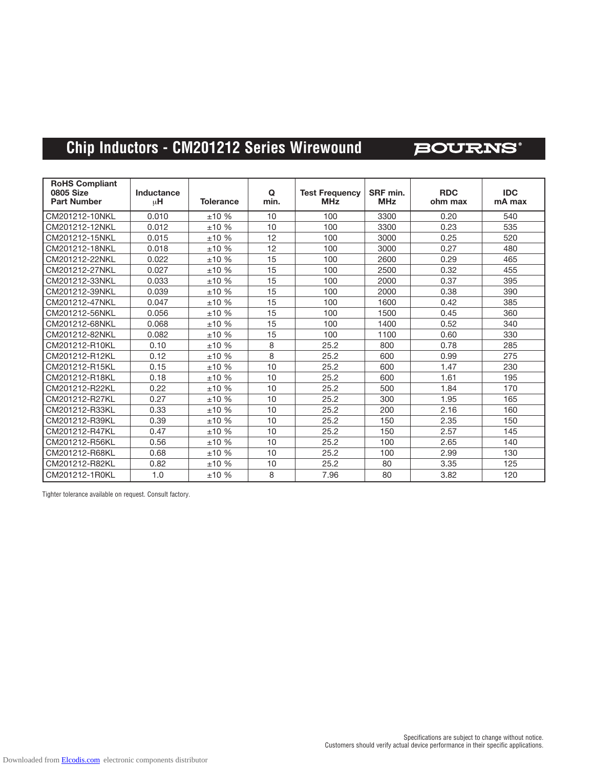# **Chip Inductors - CM201212 Series Wirewound**

### **BOURNS®**

| <b>RoHS Compliant</b><br><b>0805 Size</b><br><b>Part Number</b> | Inductance<br>μH | <b>Tolerance</b> | Q<br>min. | <b>Test Frequency</b><br><b>MHz</b> | SRF min.<br><b>MHz</b> | <b>RDC</b><br>ohm max | <b>IDC</b><br>mA max |
|-----------------------------------------------------------------|------------------|------------------|-----------|-------------------------------------|------------------------|-----------------------|----------------------|
| CM201212-10NKL                                                  | 0.010            | ±10%             | 10        | 100                                 | 3300                   | 0.20                  | 540                  |
| CM201212-12NKL                                                  | 0.012            | ±10%             | 10        | 100                                 | 3300                   | 0.23                  | 535                  |
| CM201212-15NKL                                                  | 0.015            | ±10%             | 12        | 100                                 | 3000                   | 0.25                  | 520                  |
| CM201212-18NKL                                                  | 0.018            | ±10%             | 12        | 100                                 | 3000                   | 0.27                  | 480                  |
| CM201212-22NKL                                                  | 0.022            | ±10%             | 15        | 100                                 | 2600                   | 0.29                  | 465                  |
| CM201212-27NKL                                                  | 0.027            | ±10%             | 15        | 100                                 | 2500                   | 0.32                  | 455                  |
| CM201212-33NKL                                                  | 0.033            | ±10%             | 15        | 100                                 | 2000                   | 0.37                  | 395                  |
| CM201212-39NKL                                                  | 0.039            | ±10 %            | 15        | 100                                 | 2000                   | 0.38                  | 390                  |
| CM201212-47NKL                                                  | 0.047            | ±10%             | 15        | 100                                 | 1600                   | 0.42                  | 385                  |
| CM201212-56NKL                                                  | 0.056            | ±10%             | 15        | 100                                 | 1500                   | 0.45                  | 360                  |
| CM201212-68NKL                                                  | 0.068            | ±10%             | 15        | 100                                 | 1400                   | 0.52                  | 340                  |
| CM201212-82NKL                                                  | 0.082            | ±10%             | 15        | 100                                 | 1100                   | 0.60                  | 330                  |
| CM201212-R10KL                                                  | 0.10             | ±10%             | 8         | 25.2                                | 800                    | 0.78                  | 285                  |
| CM201212-R12KL                                                  | 0.12             | ±10%             | 8         | 25.2                                | 600                    | 0.99                  | 275                  |
| CM201212-R15KL                                                  | 0.15             | ±10%             | 10        | 25.2                                | 600                    | 1.47                  | 230                  |
| CM201212-R18KL                                                  | 0.18             | ±10%             | 10        | 25.2                                | 600                    | 1.61                  | 195                  |
| CM201212-R22KL                                                  | 0.22             | ±10 %            | 10        | 25.2                                | 500                    | 1.84                  | 170                  |
| CM201212-R27KL                                                  | 0.27             | ±10%             | 10        | 25.2                                | 300                    | 1.95                  | 165                  |
| CM201212-R33KL                                                  | 0.33             | ±10%             | 10        | 25.2                                | 200                    | 2.16                  | 160                  |
| CM201212-R39KL                                                  | 0.39             | $\pm 10$ %       | 10        | 25.2                                | 150                    | 2.35                  | 150                  |
| CM201212-R47KL                                                  | 0.47             | $\pm 10$ %       | 10        | 25.2                                | 150                    | 2.57                  | 145                  |
| CM201212-R56KL                                                  | 0.56             | ±10%             | 10        | 25.2                                | 100                    | 2.65                  | 140                  |
| CM201212-R68KL                                                  | 0.68             | ±10%             | 10        | 25.2                                | 100                    | 2.99                  | 130                  |
| CM201212-R82KL                                                  | 0.82             | ±10%             | 10        | 25.2                                | 80                     | 3.35                  | 125                  |
| CM201212-1R0KL                                                  | 1.0              | ±10%             | 8         | 7.96                                | 80                     | 3.82                  | 120                  |

Tighter tolerance available on request. Consult factory.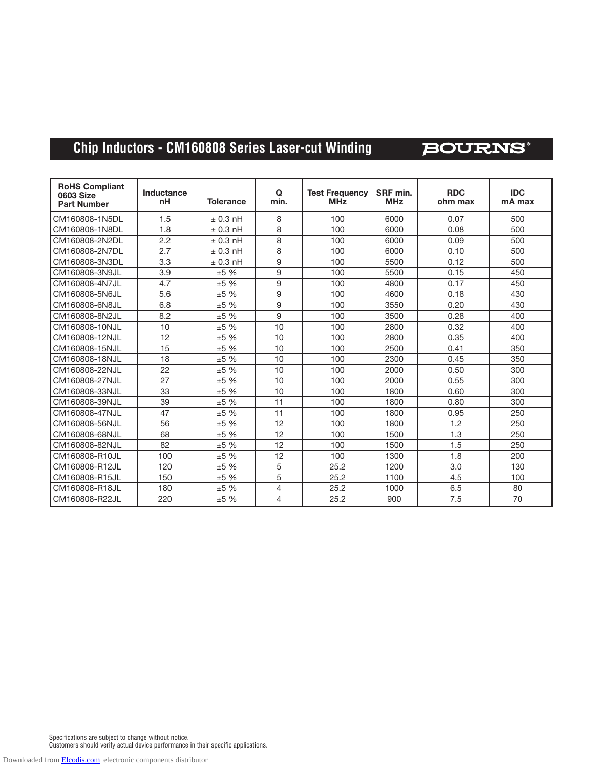# **Chip Inductors - CM160808 Series Laser-cut Winding**

**BOURNS®** 

| <b>RoHS Compliant</b><br>0603 Size<br><b>Part Number</b> | Inductance<br>nH | <b>Tolerance</b> | Q<br>min.      | <b>Test Frequency</b><br><b>MHz</b> | SRF min.<br><b>MHz</b> | <b>RDC</b><br>ohm max | <b>IDC</b><br>mA max |
|----------------------------------------------------------|------------------|------------------|----------------|-------------------------------------|------------------------|-----------------------|----------------------|
| CM160808-1N5DL                                           | 1.5              | $\pm$ 0.3 nH     | 8              | 100                                 | 6000                   | 0.07                  | 500                  |
| CM160808-1N8DL                                           | 1.8              | $± 0.3$ nH       | 8              | 100                                 | 6000                   | 0.08                  | 500                  |
| CM160808-2N2DL                                           | 2.2              | $\pm$ 0.3 nH     | 8              | 100                                 | 6000                   | 0.09                  | 500                  |
| CM160808-2N7DL                                           | 2.7              | $\pm$ 0.3 nH     | 8              | 100                                 | 6000                   | 0.10                  | 500                  |
| CM160808-3N3DL                                           | 3.3              | $\pm$ 0.3 nH     | 9              | 100                                 | 5500                   | 0.12                  | 500                  |
| CM160808-3N9JL                                           | 3.9              | ±5%              | 9              | 100                                 | 5500                   | 0.15                  | 450                  |
| CM160808-4N7JL                                           | 4.7              | ±5 %             | 9              | 100                                 | 4800                   | 0.17                  | 450                  |
| CM160808-5N6JL                                           | 5.6              | ±5%              | 9              | 100                                 | 4600                   | 0.18                  | 430                  |
| CM160808-6N8JL                                           | 6.8              | ±5 %             | 9              | 100                                 | 3550                   | 0.20                  | 430                  |
| CM160808-8N2JL                                           | 8.2              | ±5%              | 9              | 100                                 | 3500                   | 0.28                  | 400                  |
| CM160808-10NJL                                           | 10               | ±5 %             | 10             | 100                                 | 2800                   | 0.32                  | 400                  |
| CM160808-12NJL                                           | 12               | ±5%              | 10             | 100                                 | 2800                   | 0.35                  | 400                  |
| CM160808-15NJL                                           | 15               | ±5%              | 10             | 100                                 | 2500                   | 0.41                  | 350                  |
| CM160808-18NJL                                           | 18               | ±5%              | 10             | 100                                 | 2300                   | 0.45                  | 350                  |
| CM160808-22NJL                                           | 22               | ±5 %             | 10             | 100                                 | 2000                   | 0.50                  | 300                  |
| CM160808-27NJL                                           | 27               | ±5 %             | 10             | 100                                 | 2000                   | 0.55                  | 300                  |
| CM160808-33NJL                                           | 33               | ±5%              | 10             | 100                                 | 1800                   | 0.60                  | 300                  |
| CM160808-39NJL                                           | 39               | ±5%              | 11             | 100                                 | 1800                   | 0.80                  | 300                  |
| CM160808-47NJL                                           | 47               | ±5%              | 11             | 100                                 | 1800                   | 0.95                  | 250                  |
| CM160808-56NJL                                           | 56               | ±5 %             | 12             | 100                                 | 1800                   | 1.2                   | 250                  |
| CM160808-68NJL                                           | 68               | ±5%              | 12             | 100                                 | 1500                   | 1.3                   | 250                  |
| CM160808-82NJL                                           | 82               | ±5%              | 12             | 100                                 | 1500                   | 1.5                   | 250                  |
| CM160808-R10JL                                           | 100              | ±5%              | 12             | 100                                 | 1300                   | 1.8                   | 200                  |
| CM160808-R12JL                                           | 120              | ±5 %             | 5              | 25.2                                | 1200                   | 3.0                   | 130                  |
| CM160808-R15JL                                           | 150              | ±5%              | 5              | 25.2                                | 1100                   | 4.5                   | 100                  |
| CM160808-R18JL                                           | 180              | ±5%              | 4              | 25.2                                | 1000                   | 6.5                   | 80                   |
| CM160808-R22JL                                           | 220              | ±5%              | $\overline{4}$ | 25.2                                | 900                    | 7.5                   | 70                   |